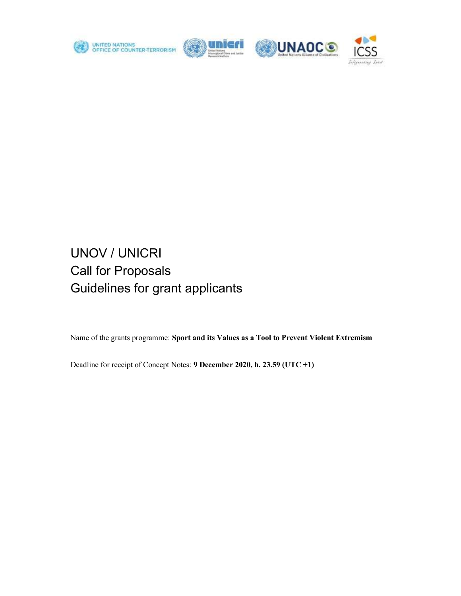

n n



# UNOV / UNICRI Call for Proposals Guidelines for grant applicants

Name of the grants programme: Sport and its Values as a Tool to Prevent Violent Extremism

Deadline for receipt of Concept Notes: 9 December 2020, h. 23.59 (UTC +1)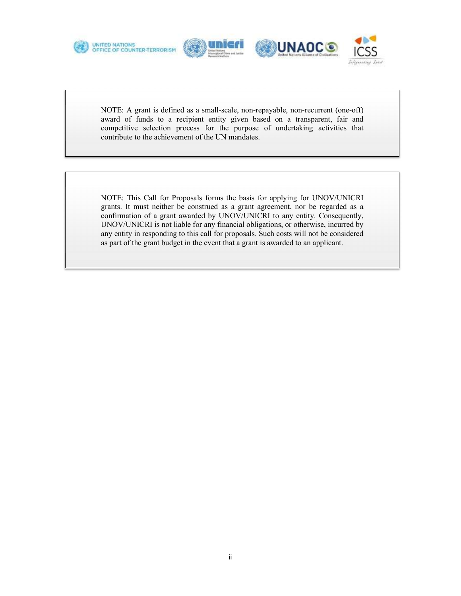







NOTE: A grant is defined as a small-scale, non-repayable, non-recurrent (one-off) award of funds to a recipient entity given based on a transparent, fair and competitive selection process for the purpose of undertaking activities that contribute to the achievement of the UN mandates.

NOTE: This Call for Proposals forms the basis for applying for UNOV/UNICRI grants. It must neither be construed as a grant agreement, nor be regarded as a confirmation of a grant awarded by UNOV/UNICRI to any entity. Consequently, UNOV/UNICRI is not liable for any financial obligations, or otherwise, incurred by any entity in responding to this call for proposals. Such costs will not be considered as part of the grant budget in the event that a grant is awarded to an applicant.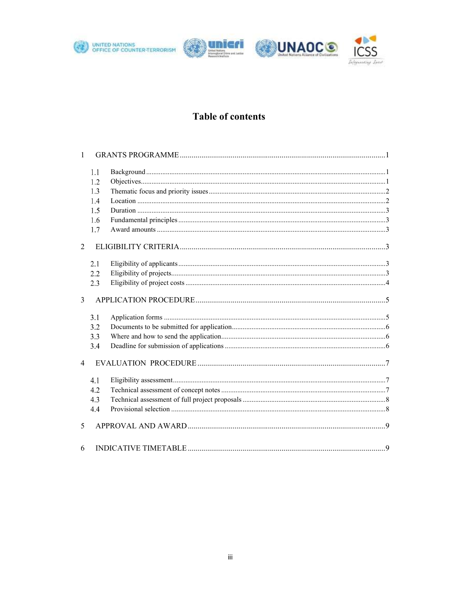







# **Table of contents**

| $\mathbf{1}$   |     |  |
|----------------|-----|--|
|                | 1.1 |  |
|                | 1.2 |  |
|                | 1.3 |  |
|                | 1.4 |  |
|                | 1.5 |  |
|                | 1.6 |  |
|                | 1.7 |  |
| $\overline{2}$ |     |  |
|                | 2.1 |  |
|                | 2.2 |  |
|                | 2.3 |  |
| $\overline{3}$ |     |  |
|                | 3.1 |  |
|                | 3.2 |  |
|                | 3.3 |  |
|                | 3.4 |  |
| $\overline{4}$ |     |  |
|                | 4.1 |  |
|                | 4.2 |  |
|                | 4.3 |  |
|                | 4.4 |  |
| 5              |     |  |
| 6              |     |  |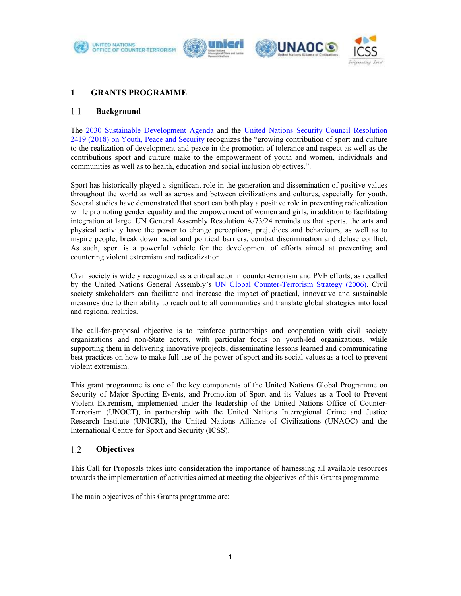







# 1 GRANTS PROGRAMME

### 1.1 Background

The 2030 Sustainable Development Agenda and the United Nations Security Council Resolution 2419 (2018) on Youth, Peace and Security recognizes the "growing contribution of sport and culture to the realization of development and peace in the promotion of tolerance and respect as well as the contributions sport and culture make to the empowerment of youth and women, individuals and communities as well as to health, education and social inclusion objectives.".

Sport has historically played a significant role in the generation and dissemination of positive values throughout the world as well as across and between civilizations and cultures, especially for youth. Several studies have demonstrated that sport can both play a positive role in preventing radicalization while promoting gender equality and the empowerment of women and girls, in addition to facilitating integration at large. UN General Assembly Resolution A/73/24 reminds us that sports, the arts and physical activity have the power to change perceptions, prejudices and behaviours, as well as to inspire people, break down racial and political barriers, combat discrimination and defuse conflict. As such, sport is a powerful vehicle for the development of efforts aimed at preventing and countering violent extremism and radicalization.

Civil society is widely recognized as a critical actor in counter-terrorism and PVE efforts, as recalled by the United Nations General Assembly's UN Global Counter-Terrorism Strategy (2006). Civil society stakeholders can facilitate and increase the impact of practical, innovative and sustainable measures due to their ability to reach out to all communities and translate global strategies into local and regional realities.

The call-for-proposal objective is to reinforce partnerships and cooperation with civil society organizations and non-State actors, with particular focus on youth-led organizations, while supporting them in delivering innovative projects, disseminating lessons learned and communicating best practices on how to make full use of the power of sport and its social values as a tool to prevent violent extremism.

This grant programme is one of the key components of the United Nations Global Programme on Security of Major Sporting Events, and Promotion of Sport and its Values as a Tool to Prevent Violent Extremism, implemented under the leadership of the United Nations Office of Counter-Terrorism (UNOCT), in partnership with the United Nations Interregional Crime and Justice Research Institute (UNICRI), the United Nations Alliance of Civilizations (UNAOC) and the International Centre for Sport and Security (ICSS).

### 1.2 **Objectives**

This Call for Proposals takes into consideration the importance of harnessing all available resources towards the implementation of activities aimed at meeting the objectives of this Grants programme.

The main objectives of this Grants programme are: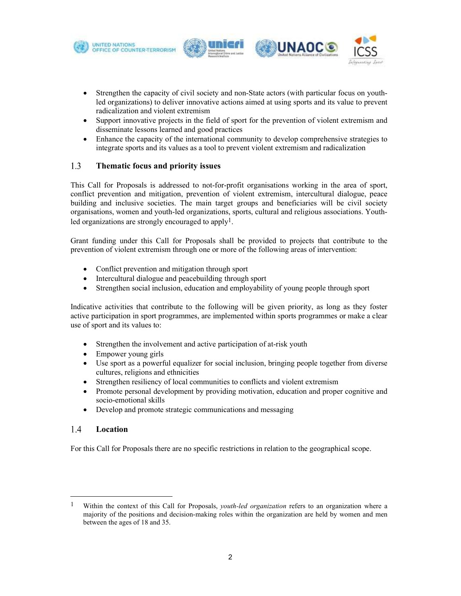





- Strengthen the capacity of civil society and non-State actors (with particular focus on youthled organizations) to deliver innovative actions aimed at using sports and its value to prevent radicalization and violent extremism
- Support innovative projects in the field of sport for the prevention of violent extremism and disseminate lessons learned and good practices
- Enhance the capacity of the international community to develop comprehensive strategies to integrate sports and its values as a tool to prevent violent extremism and radicalization

### 1.3 Thematic focus and priority issues

This Call for Proposals is addressed to not-for-profit organisations working in the area of sport, conflict prevention and mitigation, prevention of violent extremism, intercultural dialogue, peace building and inclusive societies. The main target groups and beneficiaries will be civil society organisations, women and youth-led organizations, sports, cultural and religious associations. Youth-

led organizations are strongly encouraged to apply<sup>1</sup>.<br>Grant funding under this Call for Proposals shall be provided to projects that contribute to the prevention of violent extremism through one or more of the following areas of intervention:

- Conflict prevention and mitigation through sport
- Intercultural dialogue and peacebuilding through sport
- Strengthen social inclusion, education and employability of young people through sport

Indicative activities that contribute to the following will be given priority, as long as they foster active participation in sport programmes, are implemented within sports programmes or make a clear use of sport and its values to:

- Strengthen the involvement and active participation of at-risk youth
- Empower young girls
- Use sport as a powerful equalizer for social inclusion, bringing people together from diverse cultures, religions and ethnicities
- Strengthen resiliency of local communities to conflicts and violent extremism
- Promote personal development by providing motivation, education and proper cognitive and socio-emotional skills
- Develop and promote strategic communications and messaging

### $1.4$ Location

For this Call for Proposals there are no specific restrictions in relation to the geographical scope.

<sup>&</sup>lt;sup>1</sup> Within the context of this Call for Proposals, *youth-led organization* refers to an organization where a majority of the positions and decision-making roles within the organization are held by women and men between the ages of 18 and 35.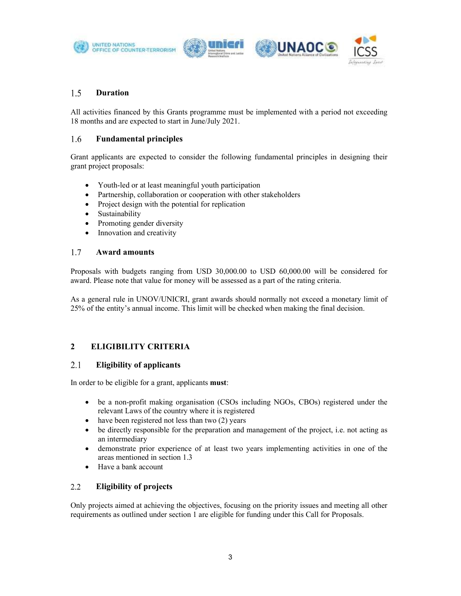









### 1.5 Duration

All activities financed by this Grants programme must be implemented with a period not exceeding 18 months and are expected to start in June/July 2021.

### 1.6 Fundamental principles

Grant applicants are expected to consider the following fundamental principles in designing their grant project proposals:

- Youth-led or at least meaningful youth participation
- Partnership, collaboration or cooperation with other stakeholders
- Project design with the potential for replication
- Sustainability
- Promoting gender diversity
- Innovation and creativity

### 1.7 Award amounts

Proposals with budgets ranging from USD 30,000.00 to USD 60,000.00 will be considered for award. Please note that value for money will be assessed as a part of the rating criteria.

As a general rule in UNOV/UNICRI, grant awards should normally not exceed a monetary limit of 25% of the entity's annual income. This limit will be checked when making the final decision.

# 2 ELIGIBILITY CRITERIA

### $2.1$ Eligibility of applicants

In order to be eligible for a grant, applicants must:

- be a non-profit making organisation (CSOs including NGOs, CBOs) registered under the relevant Laws of the country where it is registered
- have been registered not less than two (2) years
- be directly responsible for the preparation and management of the project, i.e. not acting as an intermediary
- demonstrate prior experience of at least two years implementing activities in one of the areas mentioned in section 1.3
- Have a bank account

### $2.2^{\circ}$ Eligibility of projects

Only projects aimed at achieving the objectives, focusing on the priority issues and meeting all other requirements as outlined under section 1 are eligible for funding under this Call for Proposals.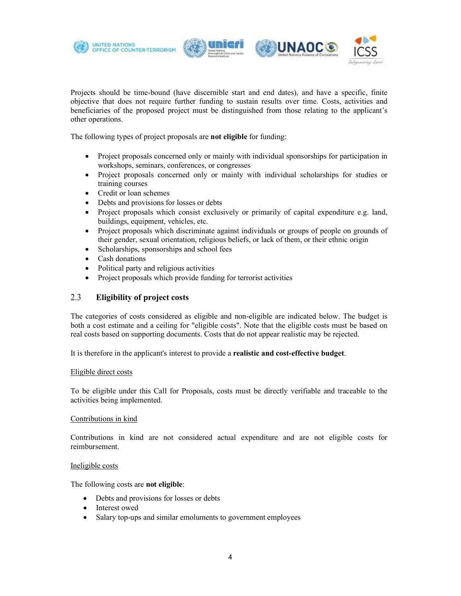





Projects should be time-bound (have discernible start and end dates), and have a specific, finite objective that does not require further funding to sustain results over time. Costs, activities and beneficiaries of the proposed project must be distinguished from those relating to the applicant's other operations.

The following types of project proposals are not eligible for funding:

- Project proposals concerned only or mainly with individual sponsorships for participation in workshops, seminars, conferences, or congresses
- Project proposals concerned only or mainly with individual scholarships for studies or training courses
- Credit or loan schemes
- Debts and provisions for losses or debts
- Project proposals which consist exclusively or primarily of capital expenditure e.g. land, buildings, equipment, vehicles, etc.
- Project proposals which discriminate against individuals or groups of people on grounds of their gender, sexual orientation, religious beliefs, or lack of them, or their ethnic origin
- Scholarships, sponsorships and school fees
- Cash donations
- Political party and religious activities
- Project proposals which provide funding for terrorist activities

### 2.3 Eligibility of project costs

The categories of costs considered as eligible and non-eligible are indicated below. The budget is both a cost estimate and a ceiling for "eligible costs". Note that the eligible costs must be based on real costs based on supporting documents. Costs that do not appear realistic may be rejected.

It is therefore in the applicant's interest to provide a realistic and cost-effective budget. Eligible direct costs

To be eligible under this Call for Proposals, costs must be directly verifiable and traceable to the activities being implemented.

### Contributions in kind

Contributions in kind are not considered actual expenditure and are not eligible costs for reimbursement.

### Ineligible costs

The following costs are not eligible:

- Debts and provisions for losses or debts
- Interest owed
- Salary top-ups and similar emoluments to government employees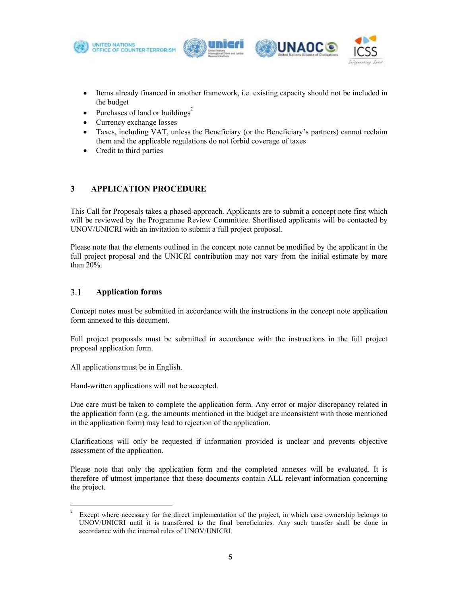





- Items already financed in another framework, i.e. existing capacity should not be included in the budget
- Purchases of land or buildings<sup>2</sup>
- Currency exchange losses
- Taxes, including VAT, unless the Beneficiary (or the Beneficiary's partners) cannot reclaim them and the applicable regulations do not forbid coverage of taxes
- Credit to third parties

# 3 APPLICATION PROCEDURE

This Call for Proposals takes a phased-approach. Applicants are to submit a concept note first which will be reviewed by the Programme Review Committee. Shortlisted applicants will be contacted by UNOV/UNICRI with an invitation to submit a full project proposal.

Please note that the elements outlined in the concept note cannot be modified by the applicant in the full project proposal and the UNICRI contribution may not vary from the initial estimate by more than 20%.

### $3.1$ Application forms

Concept notes must be submitted in accordance with the instructions in the concept note application form annexed to this document.

Full project proposals must be submitted in accordance with the instructions in the full project proposal application form.

All applications must be in English.

Hand-written applications will not be accepted.

Due care must be taken to complete the application form. Any error or major discrepancy related in the application form (e.g. the amounts mentioned in the budget are inconsistent with those mentioned in the application form) may lead to rejection of the application.

Clarifications will only be requested if information provided is unclear and prevents objective assessment of the application.

Please note that only the application form and the completed annexes will be evaluated. It is therefore of utmost importance that these documents contain ALL relevant information concerning the project.

 $\frac{2}{3}$  Except where necessary for the direct implementation of the project, in which case ownership belongs to UNOV/UNICRI until it is transferred to the final beneficiaries. Any such transfer shall be done in accordance with the internal rules of UNOV/UNICRI.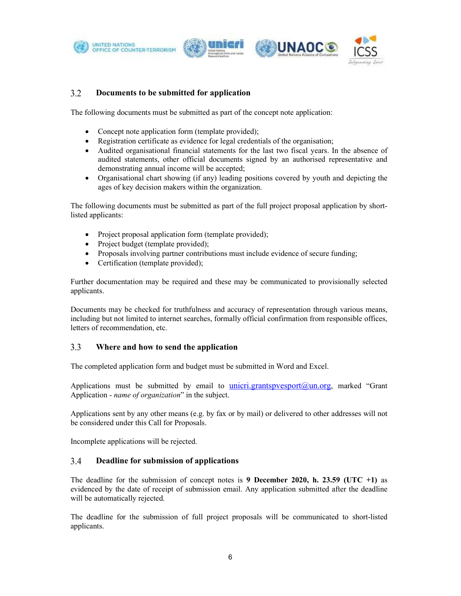







### $3.2$ Documents to be submitted for application

The following documents must be submitted as part of the concept note application:

- Concept note application form (template provided);
- Registration certificate as evidence for legal credentials of the organisation;
- Audited organisational financial statements for the last two fiscal years. In the absence of audited statements, other official documents signed by an authorised representative and demonstrating annual income will be accepted;
- Organisational chart showing (if any) leading positions covered by youth and depicting the ages of key decision makers within the organization.

The following documents must be submitted as part of the full project proposal application by shortlisted applicants:

- Project proposal application form (template provided);
- Project budget (template provided);
- Proposals involving partner contributions must include evidence of secure funding;
- Certification (template provided);

Further documentation may be required and these may be communicated to provisionally selected applicants.

Documents may be checked for truthfulness and accuracy of representation through various means, including but not limited to internet searches, formally official confirmation from responsible offices, letters of recommendation, etc.

### $3.3$ Where and how to send the application

The completed application form and budget must be submitted in Word and Excel.

Applications must be submitted by email to unicri.grantspvesport $(a)$ un.org, marked "Grant Application - *name of organization*" in the subject.

Applications sent by any other means (e.g. by fax or by mail) or delivered to other addresses will not be considered under this Call for Proposals.

Incomplete applications will be rejected.

### 3.4 Deadline for submission of applications

The deadline for the submission of concept notes is 9 December 2020, h. 23.59 (UTC  $+1$ ) as evidenced by the date of receipt of submission email. Any application submitted after the deadline will be automatically rejected.

The deadline for the submission of full project proposals will be communicated to short-listed applicants.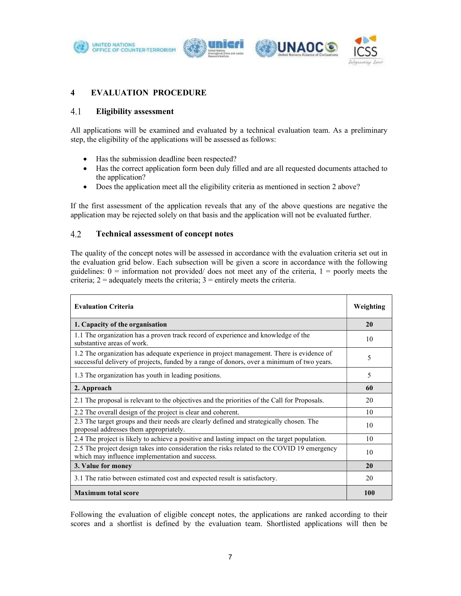







# 4 EVALUATION PROCEDURE

#### $4.1$ Eligibility assessment

All applications will be examined and evaluated by a technical evaluation team. As a preliminary step, the eligibility of the applications will be assessed as follows:

- Has the submission deadline been respected?
- Has the correct application form been duly filled and are all requested documents attached to the application?
- Does the application meet all the eligibility criteria as mentioned in section 2 above?

If the first assessment of the application reveals that any of the above questions are negative the application may be rejected solely on that basis and the application will not be evaluated further.

### 4.2 Technical assessment of concept notes

The quality of the concept notes will be assessed in accordance with the evaluation criteria set out in the evaluation grid below. Each subsection will be given a score in accordance with the following guidelines:  $0 =$  information not provided/ does not meet any of the criteria,  $1 =$  poorly meets the criteria;  $2 =$  adequately meets the criteria;  $3 =$  entirely meets the criteria.

| <b>Evaluation Criteria</b>                                                                                                                                                             |     |  |
|----------------------------------------------------------------------------------------------------------------------------------------------------------------------------------------|-----|--|
| 1. Capacity of the organisation                                                                                                                                                        |     |  |
| 1.1 The organization has a proven track record of experience and knowledge of the<br>substantive areas of work.                                                                        | 10  |  |
| 1.2 The organization has adequate experience in project management. There is evidence of<br>successful delivery of projects, funded by a range of donors, over a minimum of two years. |     |  |
| 1.3 The organization has youth in leading positions.                                                                                                                                   | 5   |  |
| 2. Approach                                                                                                                                                                            |     |  |
| 2.1 The proposal is relevant to the objectives and the priorities of the Call for Proposals.                                                                                           | 20  |  |
| 2.2 The overall design of the project is clear and coherent.                                                                                                                           | 10  |  |
| 2.3 The target groups and their needs are clearly defined and strategically chosen. The<br>proposal addresses them appropriately.                                                      | 10  |  |
| 2.4 The project is likely to achieve a positive and lasting impact on the target population.                                                                                           | 10  |  |
| 2.5 The project design takes into consideration the risks related to the COVID 19 emergency<br>which may influence implementation and success.                                         | 10  |  |
| 3. Value for money                                                                                                                                                                     |     |  |
| 3.1 The ratio between estimated cost and expected result is satisfactory.                                                                                                              | 20  |  |
| <b>Maximum total score</b>                                                                                                                                                             | 100 |  |

Following the evaluation of eligible concept notes, the applications are ranked according to their scores and a shortlist is defined by the evaluation team. Shortlisted applications will then be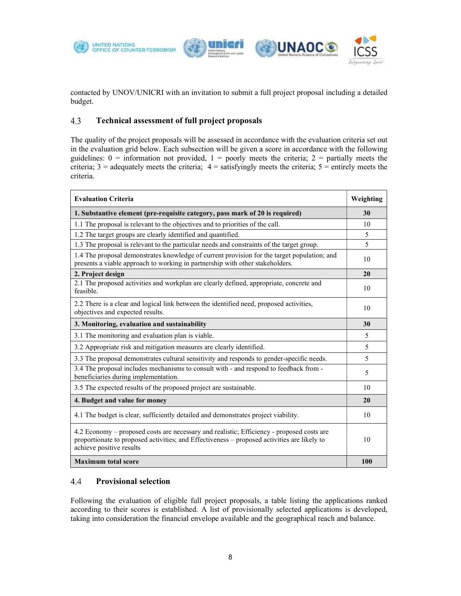





contacted by UNOV/UNICRI with an invitation to submit a full project proposal including a detailed budget.

### 4.3 Technical assessment of full project proposals

The quality of the project proposals will be assessed in accordance with the evaluation criteria set out in the evaluation grid below. Each subsection will be given a score in accordance with the following guidelines:  $0 =$  information not provided,  $1 =$  poorly meets the criteria;  $2 =$  partially meets the criteria;  $3 =$  adequately meets the criteria;  $4 =$  satisfyingly meets the criteria;  $5 =$  entirely meets the criteria.

| <b>Evaluation Criteria</b>                                                                                                                                                                                           |            |  |
|----------------------------------------------------------------------------------------------------------------------------------------------------------------------------------------------------------------------|------------|--|
| 1. Substantive element (pre-requisite category, pass mark of 20 is required)                                                                                                                                         | 30         |  |
| 1.1 The proposal is relevant to the objectives and to priorities of the call.                                                                                                                                        | 10         |  |
| 1.2 The target groups are clearly identified and quantified.                                                                                                                                                         | 5          |  |
| 1.3 The proposal is relevant to the particular needs and constraints of the target group.                                                                                                                            | 5          |  |
| 1.4 The proposal demonstrates knowledge of current provision for the target population; and<br>presents a viable approach to working in partnership with other stakeholders.                                         |            |  |
| 2. Project design                                                                                                                                                                                                    | 20         |  |
| 2.1 The proposed activities and workplan are clearly defined, appropriate, concrete and<br>feasible.                                                                                                                 | 10         |  |
| 2.2 There is a clear and logical link between the identified need, proposed activities,<br>objectives and expected results.                                                                                          | 10         |  |
| 3. Monitoring, evaluation and sustainability                                                                                                                                                                         |            |  |
| 3.1 The monitoring and evaluation plan is viable.                                                                                                                                                                    | 5          |  |
| 3.2 Appropriate risk and mitigation measures are clearly identified.                                                                                                                                                 | 5          |  |
| 3.3 The proposal demonstrates cultural sensitivity and responds to gender-specific needs.                                                                                                                            |            |  |
| 3.4 The proposal includes mechanisms to consult with - and respond to feedback from -<br>beneficiaries during implementation.                                                                                        | 5          |  |
| 3.5 The expected results of the proposed project are sustainable.                                                                                                                                                    | 10         |  |
| 4. Budget and value for money                                                                                                                                                                                        | 20         |  |
| 4.1 The budget is clear, sufficiently detailed and demonstrates project viability.                                                                                                                                   | 10         |  |
| 4.2 Economy – proposed costs are necessary and realistic; Efficiency - proposed costs are<br>proportionate to proposed activities; and Effectiveness – proposed activities are likely to<br>achieve positive results | 10         |  |
| <b>Maximum total score</b>                                                                                                                                                                                           | <b>100</b> |  |

### 4.4 Provisional selection

Following the evaluation of eligible full project proposals, a table listing the applications ranked according to their scores is established. A list of provisionally selected applications is developed, taking into consideration the financial envelope available and the geographical reach and balance.